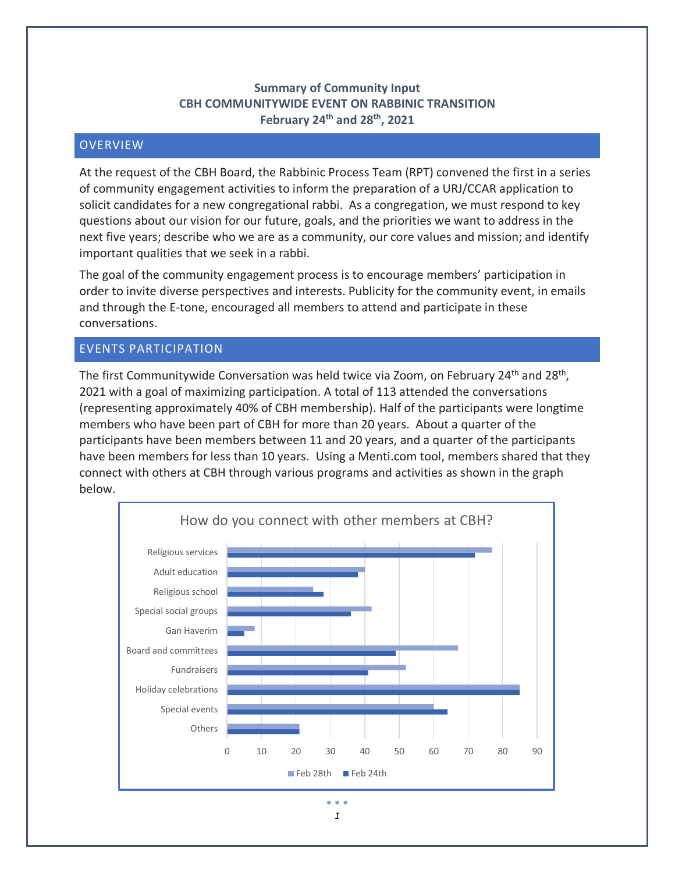# **Summary of Community Input CBH COMMUNITYWIDE EVENT ON RABBINIC TRANSITION February 24th and 28th, 2021**

# **OVERVIEW**

At the request of the CBH Board, the Rabbinic Process Team (RPT) convened the first in a series of community engagement activities to inform the preparation of a URJ/CCAR application to solicit candidates for a new congregational rabbi. As a congregation, we must respond to key questions about our vision for our future, goals, and the priorities we want to address in the next five years; describe who we are as a community, our core values and mission; and identify important qualities that we seek in a rabbi.

The goal of the community engagement process is to encourage members' participation in order to invite diverse perspectives and interests. Publicity for the community event, in emails and through the E-tone, encouraged all members to attend and participate in these conversations.

## EVENTS PARTICIPATION

The first Communitywide Conversation was held twice via Zoom, on February 24<sup>th</sup> and 28<sup>th</sup>, 2021 with a goal of maximizing participation. A total of 113 attended the conversations (representing approximately 40% of CBH membership). Half of the participants were longtime members who have been part of CBH for more than 20 years. About a quarter of the participants have been members between 11 and 20 years, and a quarter of the participants have been members for less than 10 years. Using a Menti.com tool, members shared that they connect with others at CBH through various programs and activities as shown in the graph below.

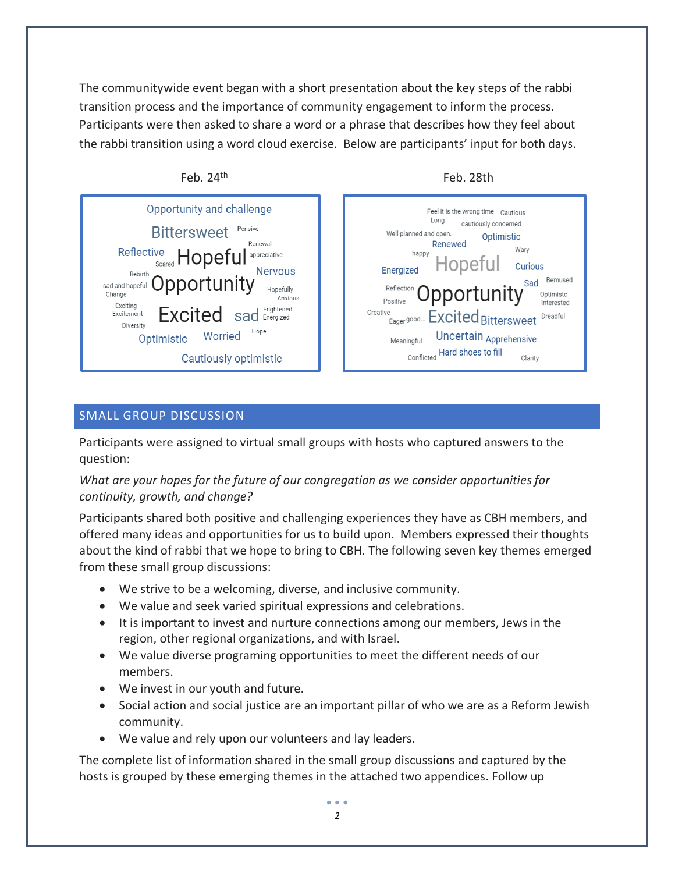The communitywide event began with a short presentation about the key steps of the rabbi transition process and the importance of community engagement to inform the process. Participants were then asked to share a word or a phrase that describes how they feel about the rabbi transition using a word cloud exercise. Below are participants' input for both days.



# SMALL GROUP DISCUSSION

Participants were assigned to virtual small groups with hosts who captured answers to the question:

# *What are your hopes for the future of our congregation as we consider opportunities for continuity, growth, and change?*

Participants shared both positive and challenging experiences they have as CBH members, and offered many ideas and opportunities for us to build upon. Members expressed their thoughts about the kind of rabbi that we hope to bring to CBH. The following seven key themes emerged from these small group discussions:

- We strive to be a welcoming, diverse, and inclusive community.
- We value and seek varied spiritual expressions and celebrations.
- It is important to invest and nurture connections among our members, Jews in the region, other regional organizations, and with Israel.
- We value diverse programing opportunities to meet the different needs of our members.
- We invest in our youth and future.
- Social action and social justice are an important pillar of who we are as a Reform Jewish community.
- We value and rely upon our volunteers and lay leaders.

The complete list of information shared in the small group discussions and captured by the hosts is grouped by these emerging themes in the attached two appendices. Follow up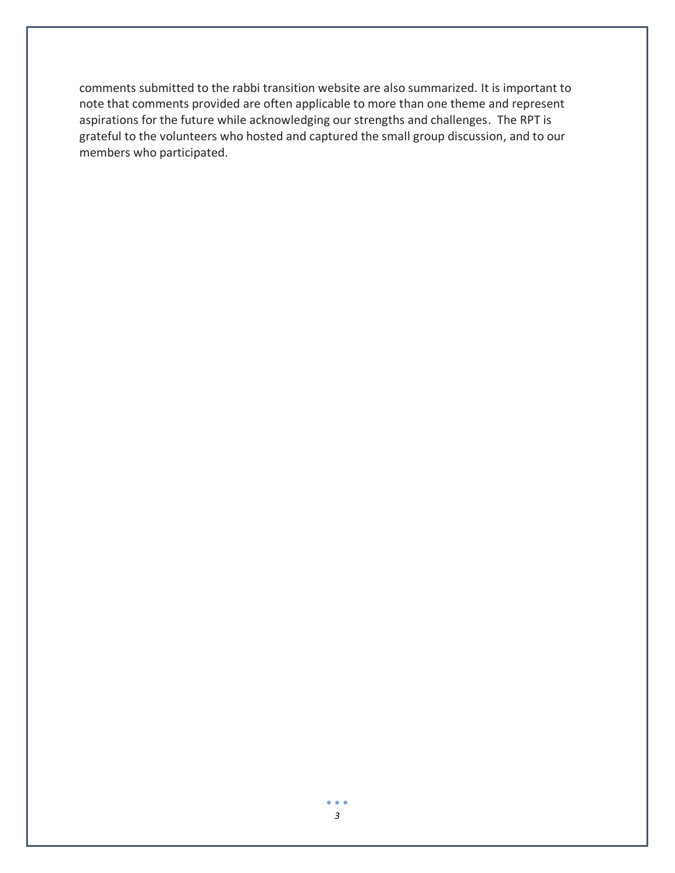comments submitted to the rabbi transition website are also summarized. It is important to note that comments provided are often applicable to more than one theme and represent aspirations for the future while acknowledging our strengths and challenges. The RPT is grateful to the volunteers who hosted and captured the small group discussion, and to our members who participated.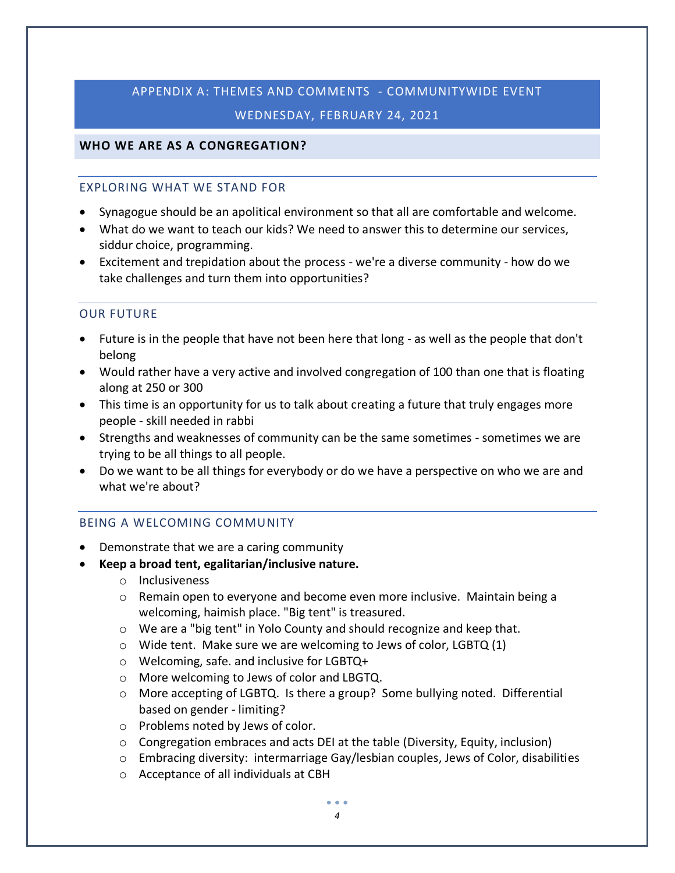# APPENDIX A: THEMES AND COMMENTS - COMMUNITYWIDE EVENT WEDNESDAY, FEBRUARY 24, 2021

## **WHO WE ARE AS A CONGREGATION?**

#### EXPLORING WHAT WE STAND FOR

- Synagogue should be an apolitical environment so that all are comfortable and welcome.
- What do we want to teach our kids? We need to answer this to determine our services, siddur choice, programming.
- Excitement and trepidation about the process we're a diverse community how do we take challenges and turn them into opportunities?

#### OUR FUTURE

- Future is in the people that have not been here that long as well as the people that don't belong
- Would rather have a very active and involved congregation of 100 than one that is floating along at 250 or 300
- This time is an opportunity for us to talk about creating a future that truly engages more people - skill needed in rabbi
- Strengths and weaknesses of community can be the same sometimes sometimes we are trying to be all things to all people.
- Do we want to be all things for everybody or do we have a perspective on who we are and what we're about?

#### BEING A WELCOMING COMMUNITY

- Demonstrate that we are a caring community
- **Keep a broad tent, egalitarian/inclusive nature.**
	- o Inclusiveness
	- $\circ$  Remain open to everyone and become even more inclusive. Maintain being a welcoming, haimish place. "Big tent" is treasured.
	- o We are a "big tent" in Yolo County and should recognize and keep that.
	- o Wide tent. Make sure we are welcoming to Jews of color, LGBTQ (1)
	- o Welcoming, safe. and inclusive for LGBTQ+
	- o More welcoming to Jews of color and LBGTQ.
	- o More accepting of LGBTQ. Is there a group? Some bullying noted. Differential based on gender - limiting?
	- o Problems noted by Jews of color.
	- $\circ$  Congregation embraces and acts DEI at the table (Diversity, Equity, inclusion)
	- $\circ$  Embracing diversity: intermarriage Gay/lesbian couples, Jews of Color, disabilities
	- o Acceptance of all individuals at CBH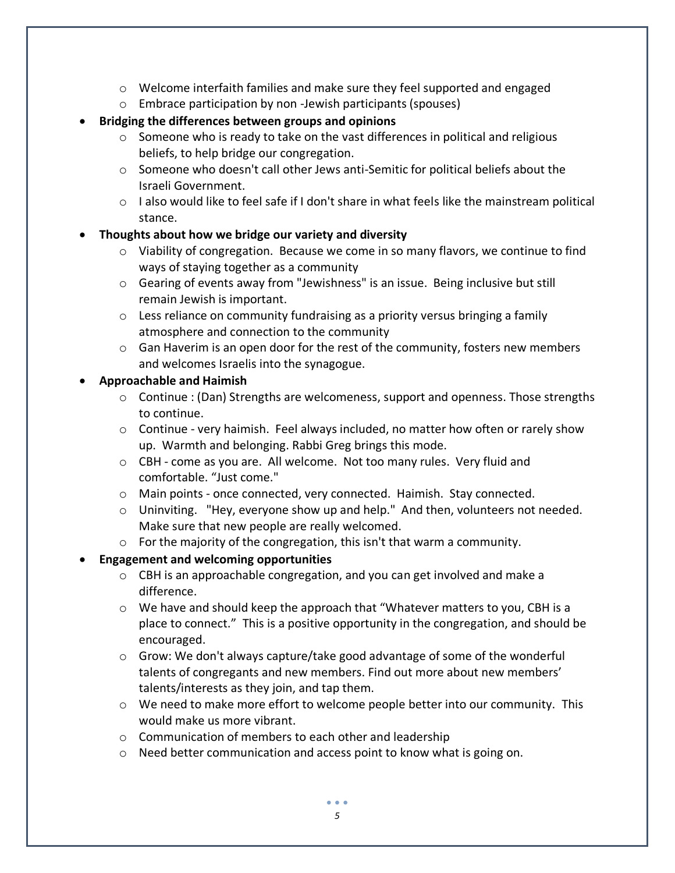- $\circ$  Welcome interfaith families and make sure they feel supported and engaged
- o Embrace participation by non -Jewish participants (spouses)
- **Bridging the differences between groups and opinions** 
	- $\circ$  Someone who is ready to take on the vast differences in political and religious beliefs, to help bridge our congregation.
	- o Someone who doesn't call other Jews anti-Semitic for political beliefs about the Israeli Government.
	- $\circ$  I also would like to feel safe if I don't share in what feels like the mainstream political stance.

# • **Thoughts about how we bridge our variety and diversity**

- $\circ$  Viability of congregation. Because we come in so many flavors, we continue to find ways of staying together as a community
- o Gearing of events away from "Jewishness" is an issue. Being inclusive but still remain Jewish is important.
- $\circ$  Less reliance on community fundraising as a priority versus bringing a family atmosphere and connection to the community
- $\circ$  Gan Haverim is an open door for the rest of the community, fosters new members and welcomes Israelis into the synagogue.

# • **Approachable and Haimish**

- o Continue : (Dan) Strengths are welcomeness, support and openness. Those strengths to continue.
- $\circ$  Continue very haimish. Feel always included, no matter how often or rarely show up. Warmth and belonging. Rabbi Greg brings this mode.
- o CBH come as you are. All welcome. Not too many rules. Very fluid and comfortable. "Just come."
- o Main points once connected, very connected. Haimish. Stay connected.
- $\circ$  Uninviting. "Hey, everyone show up and help." And then, volunteers not needed. Make sure that new people are really welcomed.
- o For the majority of the congregation, this isn't that warm a community.

# • **Engagement and welcoming opportunities**

- o CBH is an approachable congregation, and you can get involved and make a difference.
- $\circ$  We have and should keep the approach that "Whatever matters to you, CBH is a place to connect." This is a positive opportunity in the congregation, and should be encouraged.
- $\circ$  Grow: We don't always capture/take good advantage of some of the wonderful talents of congregants and new members. Find out more about new members' talents/interests as they join, and tap them.
- $\circ$  We need to make more effort to welcome people better into our community. This would make us more vibrant.
- o Communication of members to each other and leadership
- $\circ$  Need better communication and access point to know what is going on.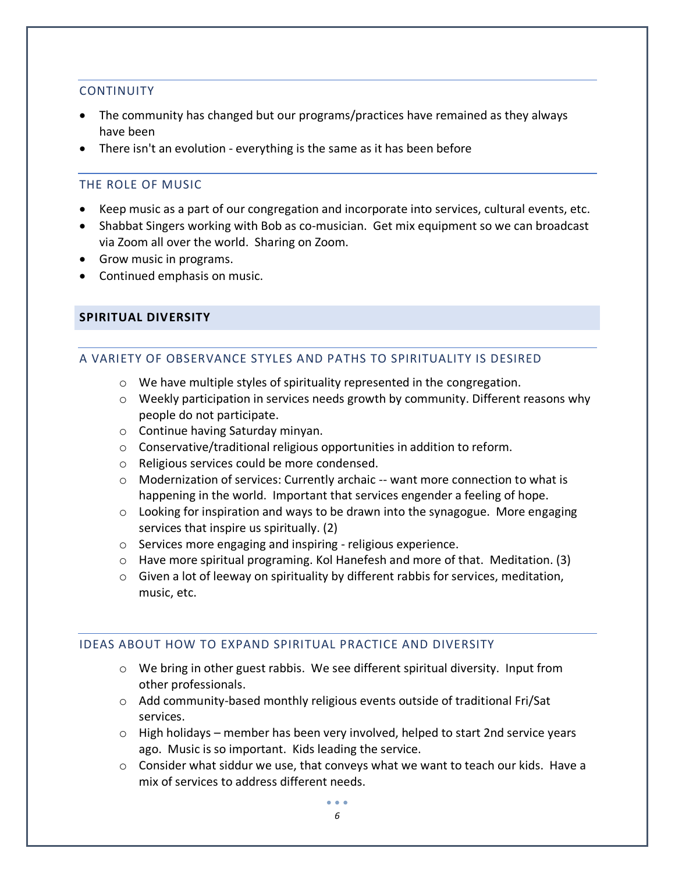#### **CONTINUITY**

- The community has changed but our programs/practices have remained as they always have been
- There isn't an evolution everything is the same as it has been before

## THE ROLE OF MUSIC

- Keep music as a part of our congregation and incorporate into services, cultural events, etc.
- Shabbat Singers working with Bob as co-musician. Get mix equipment so we can broadcast via Zoom all over the world. Sharing on Zoom.
- Grow music in programs.
- Continued emphasis on music.

#### **SPIRITUAL DIVERSITY**

#### A VARIETY OF OBSERVANCE STYLES AND PATHS TO SPIRITUALITY IS DESIRED

- o We have multiple styles of spirituality represented in the congregation.
- o Weekly participation in services needs growth by community. Different reasons why people do not participate.
- o Continue having Saturday minyan.
- o Conservative/traditional religious opportunities in addition to reform.
- o Religious services could be more condensed.
- $\circ$  Modernization of services: Currently archaic -- want more connection to what is happening in the world. Important that services engender a feeling of hope.
- $\circ$  Looking for inspiration and ways to be drawn into the synagogue. More engaging services that inspire us spiritually. (2)
- o Services more engaging and inspiring religious experience.
- $\circ$  Have more spiritual programing. Kol Hanefesh and more of that. Meditation. (3)
- $\circ$  Given a lot of leeway on spirituality by different rabbis for services, meditation, music, etc.

#### IDEAS ABOUT HOW TO EXPAND SPIRITUAL PRACTICE AND DIVERSITY

- $\circ$  We bring in other guest rabbis. We see different spiritual diversity. Input from other professionals.
- o Add community-based monthly religious events outside of traditional Fri/Sat services.
- $\circ$  High holidays member has been very involved, helped to start 2nd service years ago. Music is so important. Kids leading the service.
- $\circ$  Consider what siddur we use, that conveys what we want to teach our kids. Have a mix of services to address different needs.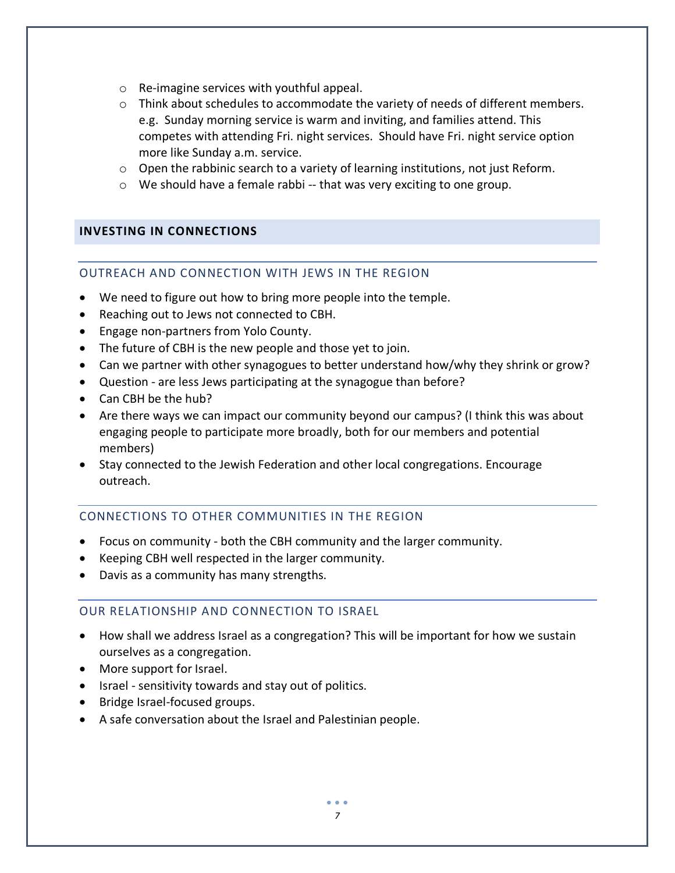- o Re-imagine services with youthful appeal.
- $\circ$  Think about schedules to accommodate the variety of needs of different members. e.g. Sunday morning service is warm and inviting, and families attend. This competes with attending Fri. night services. Should have Fri. night service option more like Sunday a.m. service.
- $\circ$  Open the rabbinic search to a variety of learning institutions, not just Reform.
- $\circ$  We should have a female rabbi -- that was very exciting to one group.

#### **INVESTING IN CONNECTIONS**

## OUTREACH AND CONNECTION WITH JEWS IN THE REGION

- We need to figure out how to bring more people into the temple.
- Reaching out to Jews not connected to CBH.
- Engage non-partners from Yolo County.
- The future of CBH is the new people and those yet to join.
- Can we partner with other synagogues to better understand how/why they shrink or grow?
- Question are less Jews participating at the synagogue than before?
- Can CBH be the hub?
- Are there ways we can impact our community beyond our campus? (I think this was about engaging people to participate more broadly, both for our members and potential members)
- Stay connected to the Jewish Federation and other local congregations. Encourage outreach.

#### CONNECTIONS TO OTHER COMMUNITIES IN THE REGION

- Focus on community both the CBH community and the larger community.
- Keeping CBH well respected in the larger community.
- Davis as a community has many strengths.

# OUR RELATIONSHIP AND CONNECTION TO ISRAEL

- How shall we address Israel as a congregation? This will be important for how we sustain ourselves as a congregation.
- More support for Israel.
- Israel sensitivity towards and stay out of politics.
- Bridge Israel-focused groups.
- A safe conversation about the Israel and Palestinian people.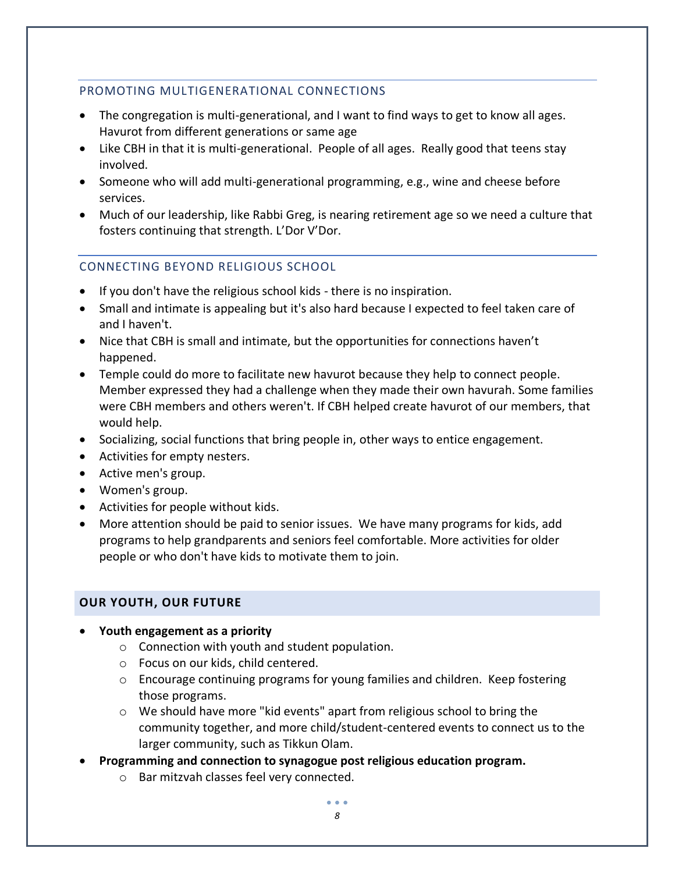# PROMOTING MULTIGENERATIONAL CONNECTIONS

- The congregation is multi-generational, and I want to find ways to get to know all ages. Havurot from different generations or same age
- Like CBH in that it is multi-generational. People of all ages. Really good that teens stay involved.
- Someone who will add multi-generational programming, e.g., wine and cheese before services.
- Much of our leadership, like Rabbi Greg, is nearing retirement age so we need a culture that fosters continuing that strength. L'Dor V'Dor.

# CONNECTING BEYOND RELIGIOUS SCHOOL

- If you don't have the religious school kids there is no inspiration.
- Small and intimate is appealing but it's also hard because I expected to feel taken care of and I haven't.
- Nice that CBH is small and intimate, but the opportunities for connections haven't happened.
- Temple could do more to facilitate new havurot because they help to connect people. Member expressed they had a challenge when they made their own havurah. Some families were CBH members and others weren't. If CBH helped create havurot of our members, that would help.
- Socializing, social functions that bring people in, other ways to entice engagement.
- Activities for empty nesters.
- Active men's group.
- Women's group.
- Activities for people without kids.
- More attention should be paid to senior issues. We have many programs for kids, add programs to help grandparents and seniors feel comfortable. More activities for older people or who don't have kids to motivate them to join.

# **OUR YOUTH, OUR FUTURE**

- **Youth engagement as a priority**
	- o Connection with youth and student population.
	- o Focus on our kids, child centered.
	- $\circ$  Encourage continuing programs for young families and children. Keep fostering those programs.
	- $\circ$  We should have more "kid events" apart from religious school to bring the community together, and more child/student-centered events to connect us to the larger community, such as Tikkun Olam.
- **Programming and connection to synagogue post religious education program.**
	- o Bar mitzvah classes feel very connected.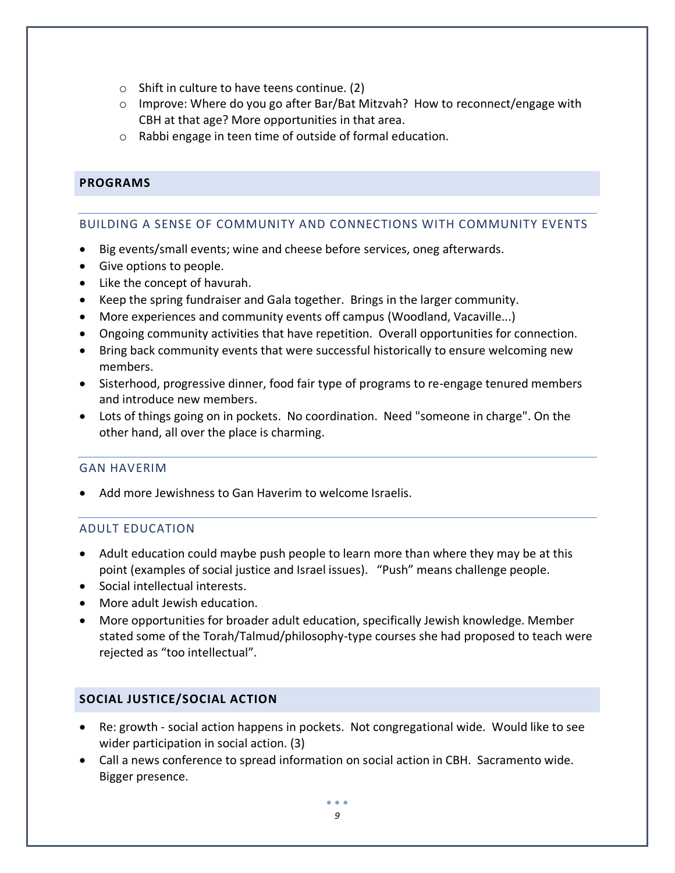- o Shift in culture to have teens continue. (2)
- $\circ$  Improve: Where do you go after Bar/Bat Mitzvah? How to reconnect/engage with CBH at that age? More opportunities in that area.
- o Rabbi engage in teen time of outside of formal education.

# **PROGRAMS**

#### BUILDING A SENSE OF COMMUNITY AND CONNECTIONS WITH COMMUNITY EVENTS

- Big events/small events; wine and cheese before services, oneg afterwards.
- Give options to people.
- Like the concept of havurah.
- Keep the spring fundraiser and Gala together. Brings in the larger community.
- More experiences and community events off campus (Woodland, Vacaville...)
- Ongoing community activities that have repetition. Overall opportunities for connection.
- Bring back community events that were successful historically to ensure welcoming new members.
- Sisterhood, progressive dinner, food fair type of programs to re-engage tenured members and introduce new members.
- Lots of things going on in pockets. No coordination. Need "someone in charge". On the other hand, all over the place is charming.

#### GAN HAVERIM

Add more Jewishness to Gan Haverim to welcome Israelis.

#### ADULT EDUCATION

- Adult education could maybe push people to learn more than where they may be at this point (examples of social justice and Israel issues). "Push" means challenge people.
- Social intellectual interests.
- More adult Jewish education.
- More opportunities for broader adult education, specifically Jewish knowledge. Member stated some of the Torah/Talmud/philosophy-type courses she had proposed to teach were rejected as "too intellectual".

#### **SOCIAL JUSTICE/SOCIAL ACTION**

- Re: growth social action happens in pockets. Not congregational wide. Would like to see wider participation in social action. (3)
- Call a news conference to spread information on social action in CBH. Sacramento wide. Bigger presence.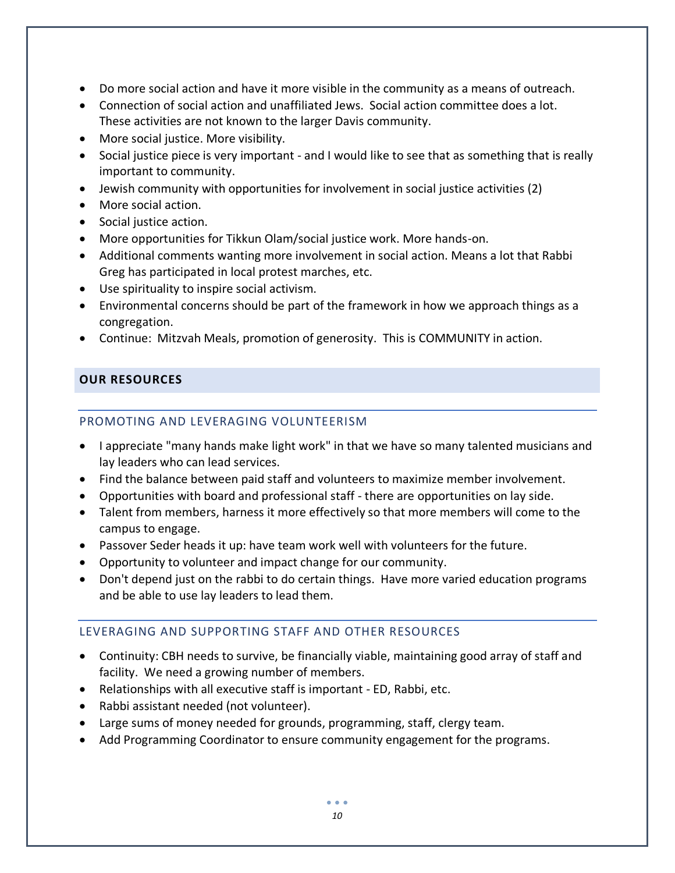- Do more social action and have it more visible in the community as a means of outreach.
- Connection of social action and unaffiliated Jews. Social action committee does a lot. These activities are not known to the larger Davis community.
- More social justice. More visibility.
- Social justice piece is very important and I would like to see that as something that is really important to community.
- Jewish community with opportunities for involvement in social justice activities (2)
- More social action.
- Social justice action.
- More opportunities for Tikkun Olam/social justice work. More hands-on.
- Additional comments wanting more involvement in social action. Means a lot that Rabbi Greg has participated in local protest marches, etc.
- Use spirituality to inspire social activism.
- Environmental concerns should be part of the framework in how we approach things as a congregation.
- Continue: Mitzvah Meals, promotion of generosity. This is COMMUNITY in action.

# **OUR RESOURCES**

# PROMOTING AND LEVERAGING VOLUNTEERISM

- I appreciate "many hands make light work" in that we have so many talented musicians and lay leaders who can lead services.
- Find the balance between paid staff and volunteers to maximize member involvement.
- Opportunities with board and professional staff there are opportunities on lay side.
- Talent from members, harness it more effectively so that more members will come to the campus to engage.
- Passover Seder heads it up: have team work well with volunteers for the future.
- Opportunity to volunteer and impact change for our community.
- Don't depend just on the rabbi to do certain things. Have more varied education programs and be able to use lay leaders to lead them.

# LEVERAGING AND SUPPORTING STAFF AND OTHER RESOURCES

- Continuity: CBH needs to survive, be financially viable, maintaining good array of staff and facility. We need a growing number of members.
- Relationships with all executive staff is important ED, Rabbi, etc.
- Rabbi assistant needed (not volunteer).
- Large sums of money needed for grounds, programming, staff, clergy team.
- Add Programming Coordinator to ensure community engagement for the programs.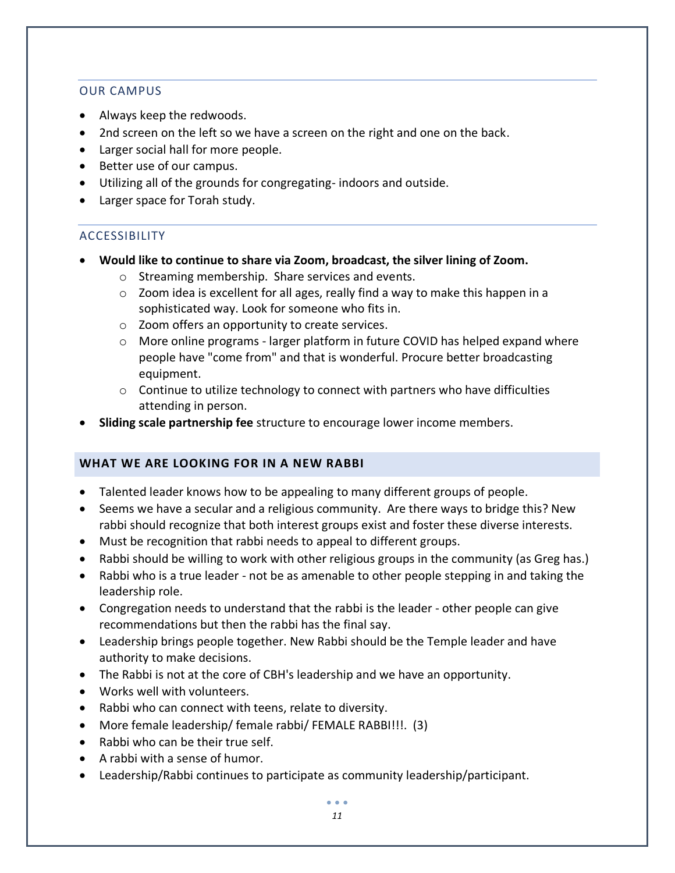### OUR CAMPUS

- Always keep the redwoods.
- 2nd screen on the left so we have a screen on the right and one on the back.
- Larger social hall for more people.
- Better use of our campus.
- Utilizing all of the grounds for congregating- indoors and outside.
- Larger space for Torah study.

## **ACCESSIBILITY**

- **Would like to continue to share via Zoom, broadcast, the silver lining of Zoom.**
	- o Streaming membership. Share services and events.
	- $\circ$  Zoom idea is excellent for all ages, really find a way to make this happen in a sophisticated way. Look for someone who fits in.
	- o Zoom offers an opportunity to create services.
	- $\circ$  More online programs larger platform in future COVID has helped expand where people have "come from" and that is wonderful. Procure better broadcasting equipment.
	- $\circ$  Continue to utilize technology to connect with partners who have difficulties attending in person.
- **Sliding scale partnership fee** structure to encourage lower income members.

# **WHAT WE ARE LOOKING FOR IN A NEW RABBI**

- Talented leader knows how to be appealing to many different groups of people.
- Seems we have a secular and a religious community. Are there ways to bridge this? New rabbi should recognize that both interest groups exist and foster these diverse interests.
- Must be recognition that rabbi needs to appeal to different groups.
- Rabbi should be willing to work with other religious groups in the community (as Greg has.)
- Rabbi who is a true leader not be as amenable to other people stepping in and taking the leadership role.
- Congregation needs to understand that the rabbi is the leader other people can give recommendations but then the rabbi has the final say.
- Leadership brings people together. New Rabbi should be the Temple leader and have authority to make decisions.
- The Rabbi is not at the core of CBH's leadership and we have an opportunity.
- Works well with volunteers.
- Rabbi who can connect with teens, relate to diversity.
- More female leadership/ female rabbi/ FEMALE RABBI!!!. (3)
- Rabbi who can be their true self.
- A rabbi with a sense of humor.
- Leadership/Rabbi continues to participate as community leadership/participant.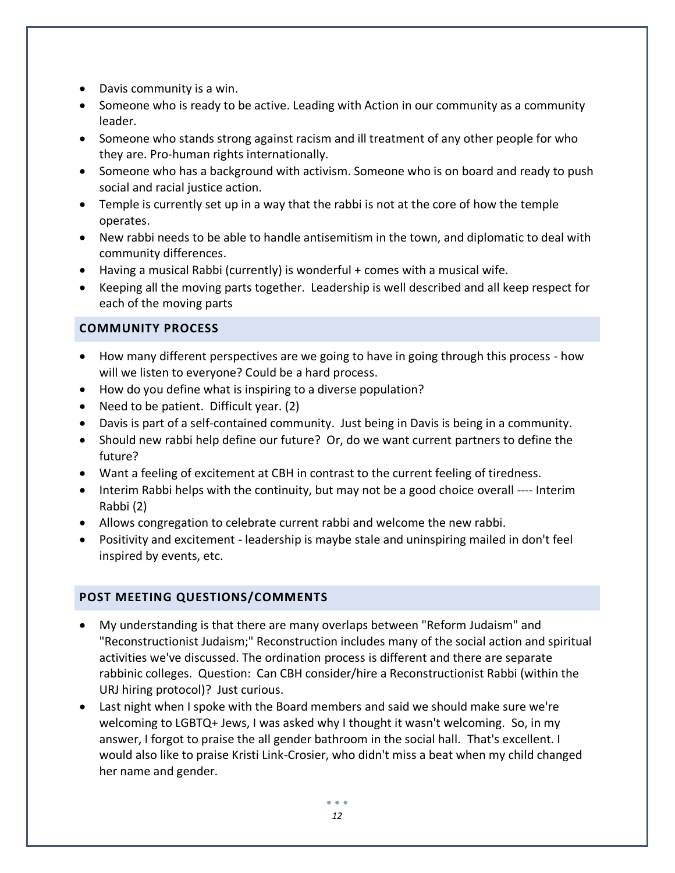- Davis community is a win.
- Someone who is ready to be active. Leading with Action in our community as a community leader.
- Someone who stands strong against racism and ill treatment of any other people for who they are. Pro-human rights internationally.
- Someone who has a background with activism. Someone who is on board and ready to push social and racial justice action.
- Temple is currently set up in a way that the rabbi is not at the core of how the temple operates.
- New rabbi needs to be able to handle antisemitism in the town, and diplomatic to deal with community differences.
- Having a musical Rabbi (currently) is wonderful + comes with a musical wife.
- Keeping all the moving parts together. Leadership is well described and all keep respect for each of the moving parts

# **COMMUNITY PROCESS**

- How many different perspectives are we going to have in going through this process how will we listen to everyone? Could be a hard process.
- How do you define what is inspiring to a diverse population?
- Need to be patient. Difficult year. (2)
- Davis is part of a self-contained community. Just being in Davis is being in a community.
- Should new rabbi help define our future? Or, do we want current partners to define the future?
- Want a feeling of excitement at CBH in contrast to the current feeling of tiredness.
- Interim Rabbi helps with the continuity, but may not be a good choice overall ---- Interim Rabbi (2)
- Allows congregation to celebrate current rabbi and welcome the new rabbi.
- Positivity and excitement leadership is maybe stale and uninspiring mailed in don't feel inspired by events, etc.

# **POST MEETING QUESTIONS/COMMENTS**

- My understanding is that there are many overlaps between "Reform Judaism" and "Reconstructionist Judaism;" Reconstruction includes many of the social action and spiritual activities we've discussed. The ordination process is different and there are separate rabbinic colleges. Question: Can CBH consider/hire a Reconstructionist Rabbi (within the URJ hiring protocol)? Just curious.
- Last night when I spoke with the Board members and said we should make sure we're welcoming to LGBTQ+ Jews, I was asked why I thought it wasn't welcoming. So, in my answer, I forgot to praise the all gender bathroom in the social hall. That's excellent. I would also like to praise Kristi Link-Crosier, who didn't miss a beat when my child changed her name and gender.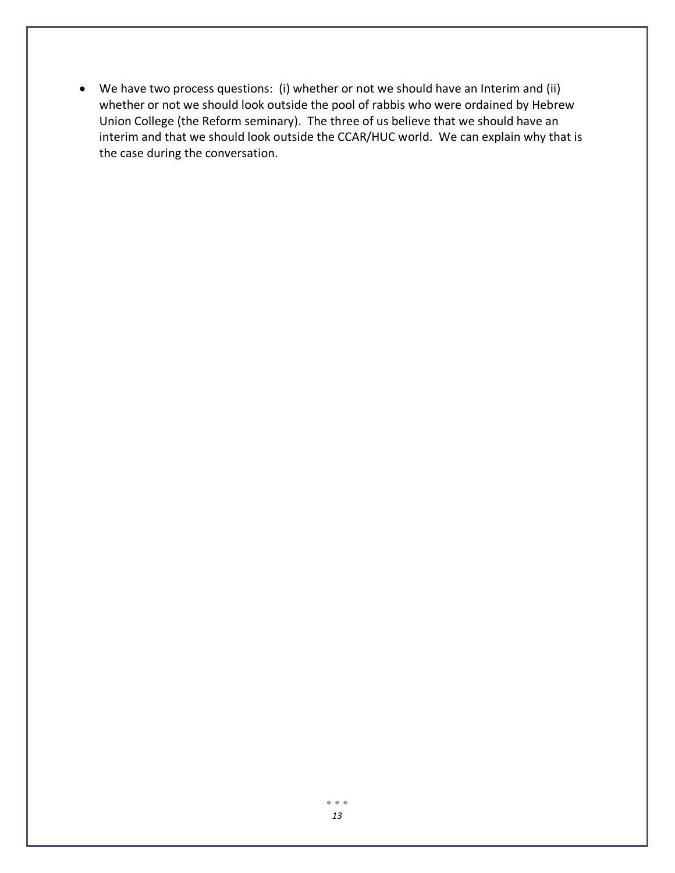• We have two process questions: (i) whether or not we should have an Interim and (ii) whether or not we should look outside the pool of rabbis who were ordained by Hebrew Union College (the Reform seminary). The three of us believe that we should have an interim and that we should look outside the CCAR/HUC world. We can explain why that is the case during the conversation.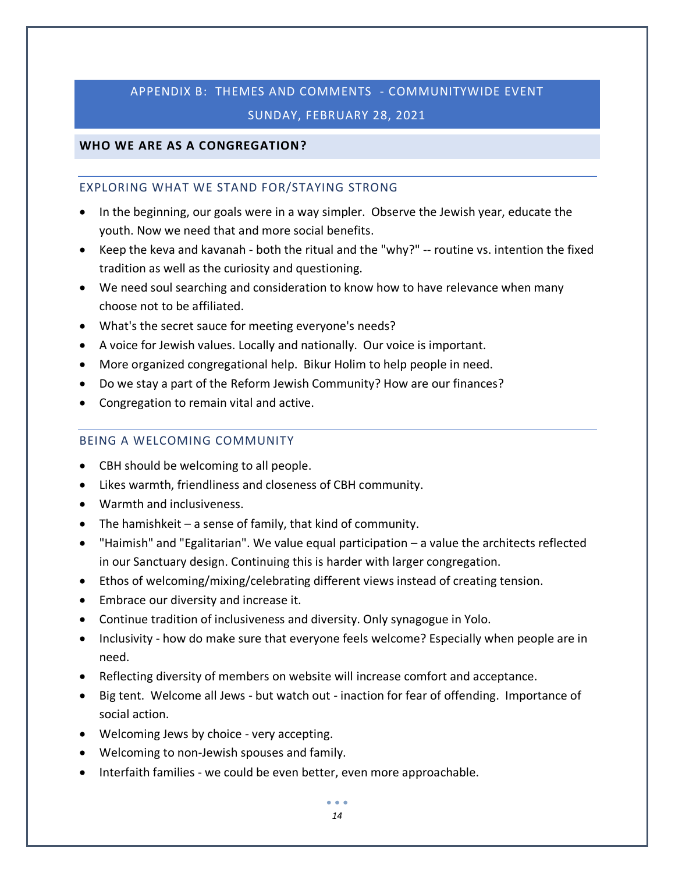# APPENDIX B: THEMES AND COMMENTS - COMMUNITYWIDE EVENT SUNDAY, FEBRUARY 28, 2021

## **WHO WE ARE AS A CONGREGATION?**

#### EXPLORING WHAT WE STAND FOR/STAYING STRONG

- In the beginning, our goals were in a way simpler. Observe the Jewish year, educate the youth. Now we need that and more social benefits.
- Keep the keva and kavanah both the ritual and the "why?" -- routine vs. intention the fixed tradition as well as the curiosity and questioning.
- We need soul searching and consideration to know how to have relevance when many choose not to be affiliated.
- What's the secret sauce for meeting everyone's needs?
- A voice for Jewish values. Locally and nationally. Our voice is important.
- More organized congregational help. Bikur Holim to help people in need.
- Do we stay a part of the Reform Jewish Community? How are our finances?
- Congregation to remain vital and active.

### BEING A WELCOMING COMMUNITY

- CBH should be welcoming to all people.
- Likes warmth, friendliness and closeness of CBH community.
- Warmth and inclusiveness.
- The hamishkeit a sense of family, that kind of community.
- "Haimish" and "Egalitarian". We value equal participation a value the architects reflected in our Sanctuary design. Continuing this is harder with larger congregation.
- Ethos of welcoming/mixing/celebrating different views instead of creating tension.
- Embrace our diversity and increase it.
- Continue tradition of inclusiveness and diversity. Only synagogue in Yolo.
- Inclusivity how do make sure that everyone feels welcome? Especially when people are in need.
- Reflecting diversity of members on website will increase comfort and acceptance.
- Big tent. Welcome all Jews but watch out inaction for fear of offending. Importance of social action.
- Welcoming Jews by choice very accepting.
- Welcoming to non-Jewish spouses and family.
- Interfaith families we could be even better, even more approachable.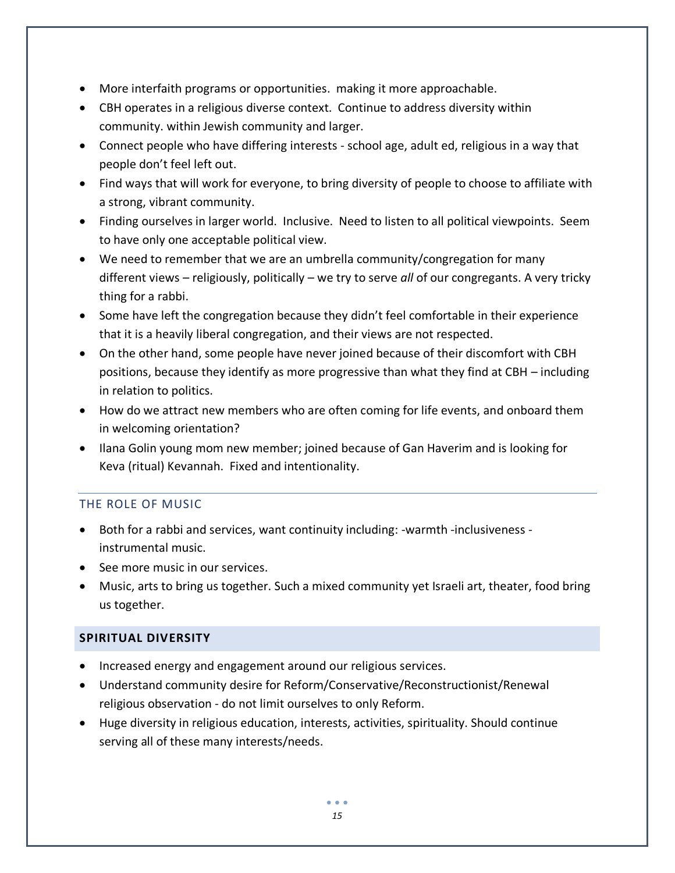- More interfaith programs or opportunities. making it more approachable.
- CBH operates in a religious diverse context. Continue to address diversity within community. within Jewish community and larger.
- Connect people who have differing interests school age, adult ed, religious in a way that people don't feel left out.
- Find ways that will work for everyone, to bring diversity of people to choose to affiliate with a strong, vibrant community.
- Finding ourselves in larger world. Inclusive. Need to listen to all political viewpoints. Seem to have only one acceptable political view.
- We need to remember that we are an umbrella community/congregation for many different views – religiously, politically – we try to serve *all* of our congregants. A very tricky thing for a rabbi.
- Some have left the congregation because they didn't feel comfortable in their experience that it is a heavily liberal congregation, and their views are not respected.
- On the other hand, some people have never joined because of their discomfort with CBH positions, because they identify as more progressive than what they find at CBH – including in relation to politics.
- How do we attract new members who are often coming for life events, and onboard them in welcoming orientation?
- Ilana Golin young mom new member; joined because of Gan Haverim and is looking for Keva (ritual) Kevannah. Fixed and intentionality.

# THE ROLE OF MUSIC

- Both for a rabbi and services, want continuity including: -warmth -inclusiveness instrumental music.
- See more music in our services.
- Music, arts to bring us together. Such a mixed community yet Israeli art, theater, food bring us together.

# **SPIRITUAL DIVERSITY**

- Increased energy and engagement around our religious services.
- Understand community desire for Reform/Conservative/Reconstructionist/Renewal religious observation - do not limit ourselves to only Reform.
- Huge diversity in religious education, interests, activities, spirituality. Should continue serving all of these many interests/needs.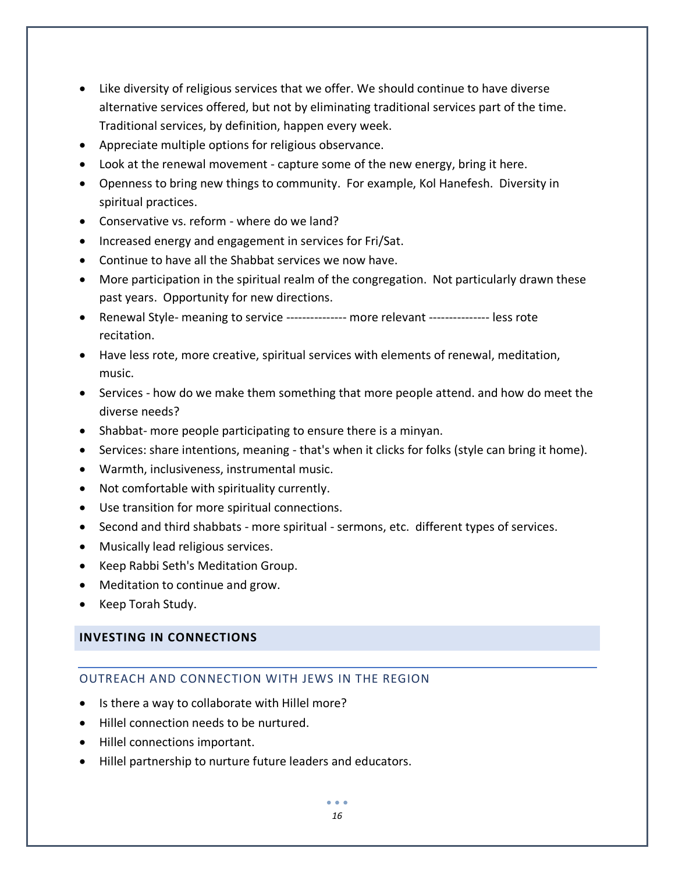- Like diversity of religious services that we offer. We should continue to have diverse alternative services offered, but not by eliminating traditional services part of the time. Traditional services, by definition, happen every week.
- Appreciate multiple options for religious observance.
- Look at the renewal movement capture some of the new energy, bring it here.
- Openness to bring new things to community. For example, Kol Hanefesh. Diversity in spiritual practices.
- Conservative vs. reform where do we land?
- Increased energy and engagement in services for Fri/Sat.
- Continue to have all the Shabbat services we now have.
- More participation in the spiritual realm of the congregation. Not particularly drawn these past years. Opportunity for new directions.
- Renewal Style- meaning to service --------------- more relevant --------------- less rote recitation.
- Have less rote, more creative, spiritual services with elements of renewal, meditation, music.
- Services how do we make them something that more people attend. and how do meet the diverse needs?
- Shabbat- more people participating to ensure there is a minyan.
- Services: share intentions, meaning that's when it clicks for folks (style can bring it home).
- Warmth, inclusiveness, instrumental music.
- Not comfortable with spirituality currently.
- Use transition for more spiritual connections.
- Second and third shabbats more spiritual sermons, etc. different types of services.
- Musically lead religious services.
- Keep Rabbi Seth's Meditation Group.
- Meditation to continue and grow.
- Keep Torah Study.

#### **INVESTING IN CONNECTIONS**

# OUTREACH AND CONNECTION WITH JEWS IN THE REGION

- Is there a way to collaborate with Hillel more?
- Hillel connection needs to be nurtured.
- Hillel connections important.
- Hillel partnership to nurture future leaders and educators.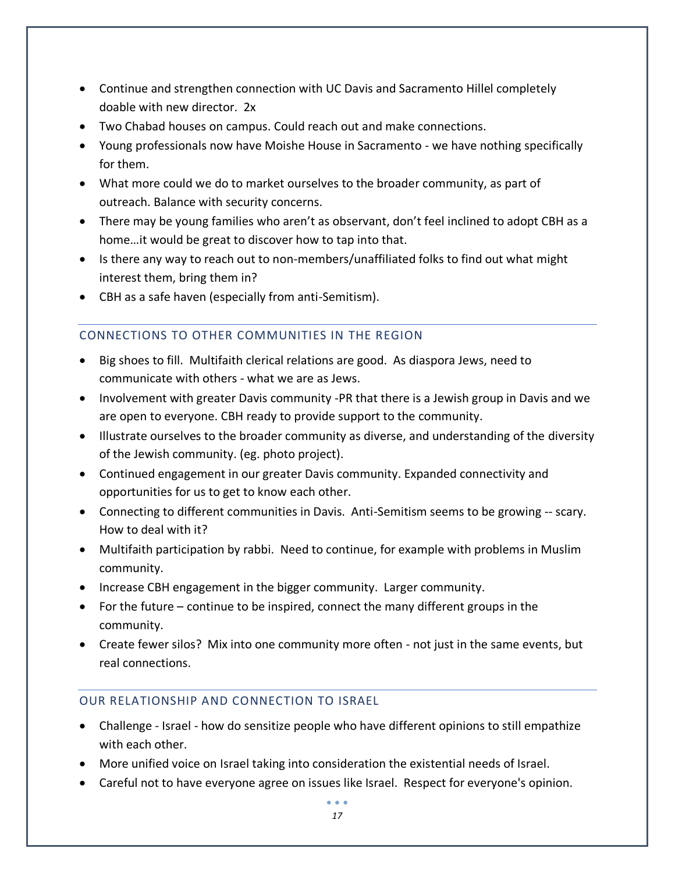- Continue and strengthen connection with UC Davis and Sacramento Hillel completely doable with new director. 2x
- Two Chabad houses on campus. Could reach out and make connections.
- Young professionals now have Moishe House in Sacramento we have nothing specifically for them.
- What more could we do to market ourselves to the broader community, as part of outreach. Balance with security concerns.
- There may be young families who aren't as observant, don't feel inclined to adopt CBH as a home…it would be great to discover how to tap into that.
- Is there any way to reach out to non-members/unaffiliated folks to find out what might interest them, bring them in?
- CBH as a safe haven (especially from anti-Semitism).

# CONNECTIONS TO OTHER COMMUNITIES IN THE REGION

- Big shoes to fill. Multifaith clerical relations are good. As diaspora Jews, need to communicate with others - what we are as Jews.
- Involvement with greater Davis community -PR that there is a Jewish group in Davis and we are open to everyone. CBH ready to provide support to the community.
- Illustrate ourselves to the broader community as diverse, and understanding of the diversity of the Jewish community. (eg. photo project).
- Continued engagement in our greater Davis community. Expanded connectivity and opportunities for us to get to know each other.
- Connecting to different communities in Davis. Anti-Semitism seems to be growing -- scary. How to deal with it?
- Multifaith participation by rabbi. Need to continue, for example with problems in Muslim community.
- Increase CBH engagement in the bigger community. Larger community.
- For the future continue to be inspired, connect the many different groups in the community.
- Create fewer silos? Mix into one community more often not just in the same events, but real connections.

# OUR RELATIONSHIP AND CONNECTION TO ISRAEL

- Challenge Israel how do sensitize people who have different opinions to still empathize with each other.
- More unified voice on Israel taking into consideration the existential needs of Israel.
- Careful not to have everyone agree on issues like Israel. Respect for everyone's opinion.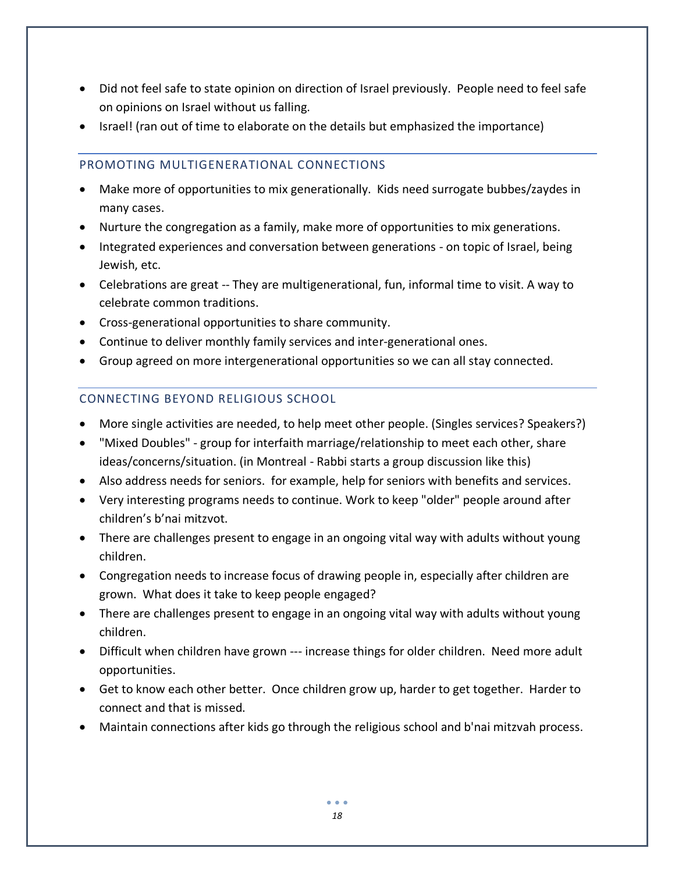- Did not feel safe to state opinion on direction of Israel previously. People need to feel safe on opinions on Israel without us falling.
- Israel! (ran out of time to elaborate on the details but emphasized the importance)

### PROMOTING MULTIGENERATIONAL CONNECTIONS

- Make more of opportunities to mix generationally. Kids need surrogate bubbes/zaydes in many cases.
- Nurture the congregation as a family, make more of opportunities to mix generations.
- Integrated experiences and conversation between generations on topic of Israel, being Jewish, etc.
- Celebrations are great -- They are multigenerational, fun, informal time to visit. A way to celebrate common traditions.
- Cross-generational opportunities to share community.
- Continue to deliver monthly family services and inter-generational ones.
- Group agreed on more intergenerational opportunities so we can all stay connected.

# CONNECTING BEYOND RELIGIOUS SCHOOL

- More single activities are needed, to help meet other people. (Singles services? Speakers?)
- "Mixed Doubles" group for interfaith marriage/relationship to meet each other, share ideas/concerns/situation. (in Montreal - Rabbi starts a group discussion like this)
- Also address needs for seniors. for example, help for seniors with benefits and services.
- Very interesting programs needs to continue. Work to keep "older" people around after children's b'nai mitzvot.
- There are challenges present to engage in an ongoing vital way with adults without young children.
- Congregation needs to increase focus of drawing people in, especially after children are grown. What does it take to keep people engaged?
- There are challenges present to engage in an ongoing vital way with adults without young children.
- Difficult when children have grown --- increase things for older children. Need more adult opportunities.
- Get to know each other better. Once children grow up, harder to get together. Harder to connect and that is missed.
- Maintain connections after kids go through the religious school and b'nai mitzvah process.

. . .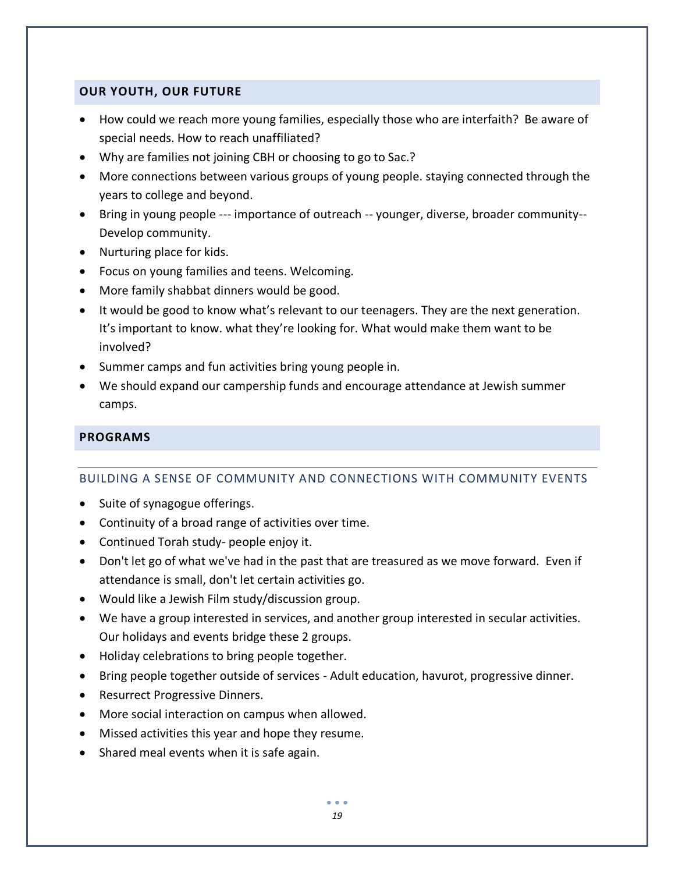## **OUR YOUTH, OUR FUTURE**

- How could we reach more young families, especially those who are interfaith? Be aware of special needs. How to reach unaffiliated?
- Why are families not joining CBH or choosing to go to Sac.?
- More connections between various groups of young people. staying connected through the years to college and beyond.
- Bring in young people --- importance of outreach -- younger, diverse, broader community-- Develop community.
- Nurturing place for kids.
- Focus on young families and teens. Welcoming.
- More family shabbat dinners would be good.
- It would be good to know what's relevant to our teenagers. They are the next generation. It's important to know. what they're looking for. What would make them want to be involved?
- Summer camps and fun activities bring young people in.
- We should expand our campership funds and encourage attendance at Jewish summer camps.

# **PROGRAMS**

#### BUILDING A SENSE OF COMMUNITY AND CONNECTIONS WITH COMMUNITY EVENTS

- Suite of synagogue offerings.
- Continuity of a broad range of activities over time.
- Continued Torah study- people enjoy it.
- Don't let go of what we've had in the past that are treasured as we move forward. Even if attendance is small, don't let certain activities go.
- Would like a Jewish Film study/discussion group.
- We have a group interested in services, and another group interested in secular activities. Our holidays and events bridge these 2 groups.
- Holiday celebrations to bring people together.
- Bring people together outside of services Adult education, havurot, progressive dinner.
- Resurrect Progressive Dinners.
- More social interaction on campus when allowed.
- Missed activities this year and hope they resume.
- Shared meal events when it is safe again.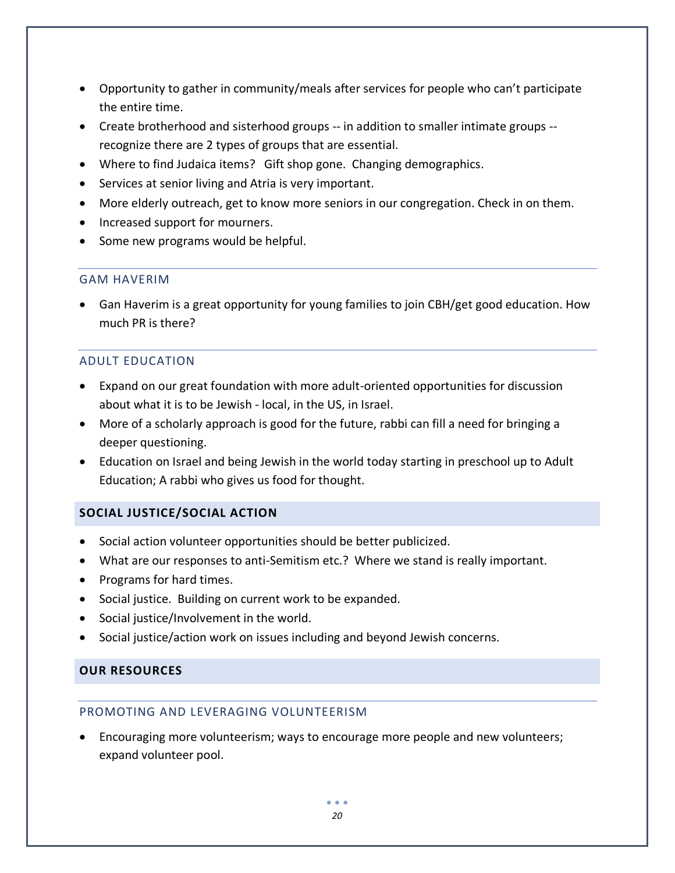- Opportunity to gather in community/meals after services for people who can't participate the entire time.
- Create brotherhood and sisterhood groups -- in addition to smaller intimate groups recognize there are 2 types of groups that are essential.
- Where to find Judaica items? Gift shop gone. Changing demographics.
- Services at senior living and Atria is very important.
- More elderly outreach, get to know more seniors in our congregation. Check in on them.
- Increased support for mourners.
- Some new programs would be helpful.

#### GAM HAVERIM

• Gan Haverim is a great opportunity for young families to join CBH/get good education. How much PR is there?

## ADULT EDUCATION

- Expand on our great foundation with more adult-oriented opportunities for discussion about what it is to be Jewish - local, in the US, in Israel.
- More of a scholarly approach is good for the future, rabbi can fill a need for bringing a deeper questioning.
- Education on Israel and being Jewish in the world today starting in preschool up to Adult Education; A rabbi who gives us food for thought.

# **SOCIAL JUSTICE/SOCIAL ACTION**

- Social action volunteer opportunities should be better publicized.
- What are our responses to anti-Semitism etc.? Where we stand is really important.
- Programs for hard times.
- Social justice. Building on current work to be expanded.
- Social justice/Involvement in the world.
- Social justice/action work on issues including and beyond Jewish concerns.

# **OUR RESOURCES**

#### PROMOTING AND LEVERAGING VOLUNTEERISM

• Encouraging more volunteerism; ways to encourage more people and new volunteers; expand volunteer pool.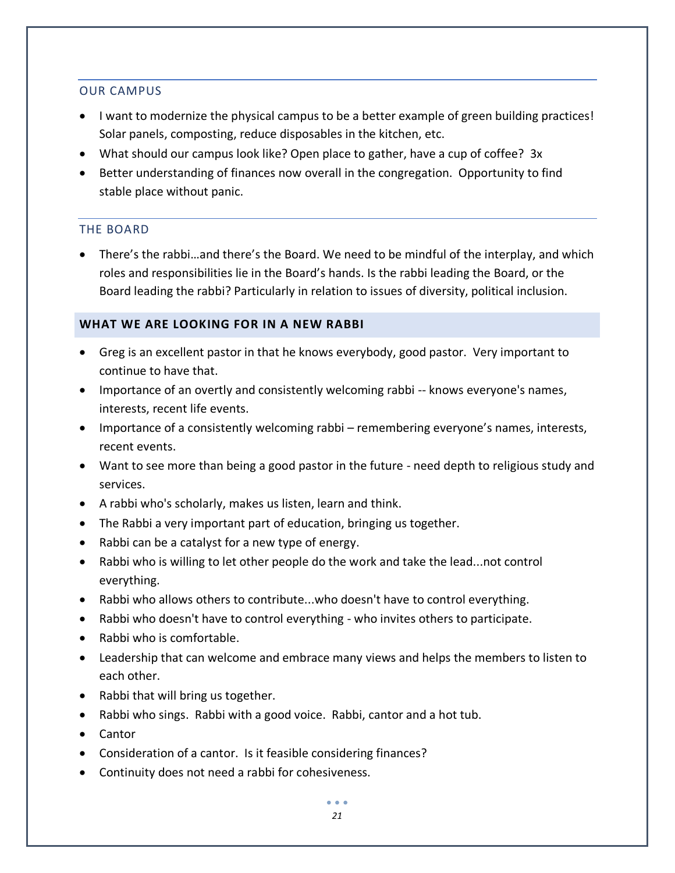#### OUR CAMPUS

- I want to modernize the physical campus to be a better example of green building practices! Solar panels, composting, reduce disposables in the kitchen, etc.
- What should our campus look like? Open place to gather, have a cup of coffee? 3x
- Better understanding of finances now overall in the congregation. Opportunity to find stable place without panic.

## THE BOARD

• There's the rabbi…and there's the Board. We need to be mindful of the interplay, and which roles and responsibilities lie in the Board's hands. Is the rabbi leading the Board, or the Board leading the rabbi? Particularly in relation to issues of diversity, political inclusion.

## **WHAT WE ARE LOOKING FOR IN A NEW RABBI**

- Greg is an excellent pastor in that he knows everybody, good pastor. Very important to continue to have that.
- Importance of an overtly and consistently welcoming rabbi -- knows everyone's names, interests, recent life events.
- Importance of a consistently welcoming rabbi remembering everyone's names, interests, recent events.
- Want to see more than being a good pastor in the future need depth to religious study and services.
- A rabbi who's scholarly, makes us listen, learn and think.
- The Rabbi a very important part of education, bringing us together.
- Rabbi can be a catalyst for a new type of energy.
- Rabbi who is willing to let other people do the work and take the lead...not control everything.
- Rabbi who allows others to contribute...who doesn't have to control everything.
- Rabbi who doesn't have to control everything who invites others to participate.
- Rabbi who is comfortable.
- Leadership that can welcome and embrace many views and helps the members to listen to each other.
- Rabbi that will bring us together.
- Rabbi who sings. Rabbi with a good voice. Rabbi, cantor and a hot tub.
- Cantor
- Consideration of a cantor. Is it feasible considering finances?
- Continuity does not need a rabbi for cohesiveness.